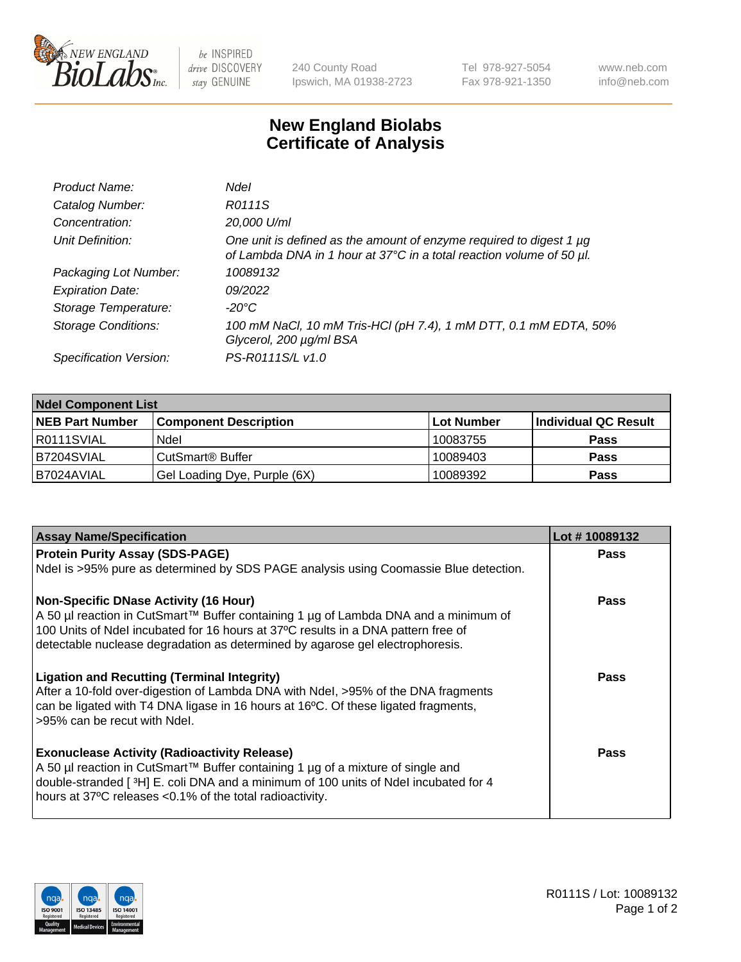

be INSPIRED drive DISCOVERY stay GENUINE

240 County Road Ipswich, MA 01938-2723 Tel 978-927-5054 Fax 978-921-1350 www.neb.com info@neb.com

## **New England Biolabs Certificate of Analysis**

| Product Name:              | Ndel                                                                                                                                             |
|----------------------------|--------------------------------------------------------------------------------------------------------------------------------------------------|
| Catalog Number:            | R0111S                                                                                                                                           |
| Concentration:             | 20,000 U/ml                                                                                                                                      |
| Unit Definition:           | One unit is defined as the amount of enzyme required to digest 1 $\mu$ g<br>of Lambda DNA in 1 hour at 37°C in a total reaction volume of 50 µl. |
| Packaging Lot Number:      | 10089132                                                                                                                                         |
| <b>Expiration Date:</b>    | 09/2022                                                                                                                                          |
| Storage Temperature:       | $-20^{\circ}$ C                                                                                                                                  |
| <b>Storage Conditions:</b> | 100 mM NaCl, 10 mM Tris-HCl (pH 7.4), 1 mM DTT, 0.1 mM EDTA, 50%<br>Glycerol, 200 µg/ml BSA                                                      |
| Specification Version:     | PS-R0111S/L v1.0                                                                                                                                 |

| <b>Ndel Component List</b> |                              |            |                      |  |  |
|----------------------------|------------------------------|------------|----------------------|--|--|
| <b>NEB Part Number</b>     | <b>Component Description</b> | Lot Number | Individual QC Result |  |  |
| R0111SVIAL                 | Ndel                         | 10083755   | <b>Pass</b>          |  |  |
| IB7204SVIAL                | CutSmart® Buffer             | 10089403   | <b>Pass</b>          |  |  |
| B7024AVIAL                 | Gel Loading Dye, Purple (6X) | 10089392   | <b>Pass</b>          |  |  |

| <b>Assay Name/Specification</b>                                                      | Lot #10089132 |
|--------------------------------------------------------------------------------------|---------------|
| <b>Protein Purity Assay (SDS-PAGE)</b>                                               | <b>Pass</b>   |
| Ndel is >95% pure as determined by SDS PAGE analysis using Coomassie Blue detection. |               |
| <b>Non-Specific DNase Activity (16 Hour)</b>                                         | <b>Pass</b>   |
| A 50 µl reaction in CutSmart™ Buffer containing 1 µg of Lambda DNA and a minimum of  |               |
| 100 Units of Ndel incubated for 16 hours at 37°C results in a DNA pattern free of    |               |
| detectable nuclease degradation as determined by agarose gel electrophoresis.        |               |
| <b>Ligation and Recutting (Terminal Integrity)</b>                                   | Pass          |
| After a 10-fold over-digestion of Lambda DNA with Ndel, >95% of the DNA fragments    |               |
| can be ligated with T4 DNA ligase in 16 hours at 16°C. Of these ligated fragments,   |               |
| >95% can be recut with Ndel.                                                         |               |
| <b>Exonuclease Activity (Radioactivity Release)</b>                                  | Pass          |
| A 50 µl reaction in CutSmart™ Buffer containing 1 µg of a mixture of single and      |               |
| double-stranded [3H] E. coli DNA and a minimum of 100 units of Ndel incubated for 4  |               |
| hours at 37°C releases <0.1% of the total radioactivity.                             |               |